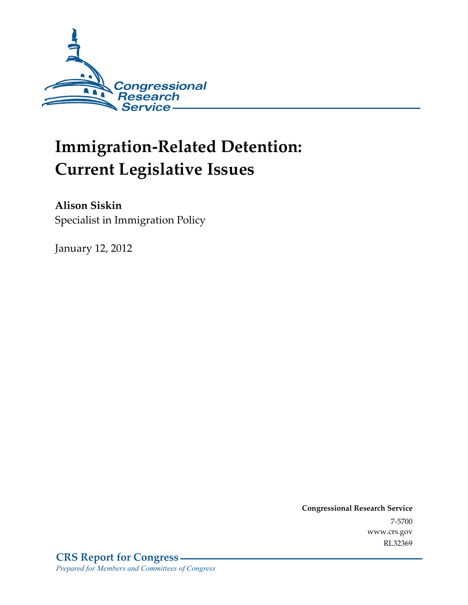

# **Immigration-Related Detention: Current Legislative Issues**

**Alison Siskin**  Specialist in Immigration Policy

January 12, 2012

**Congressional Research Service**  7-5700 www.crs.gov RL32369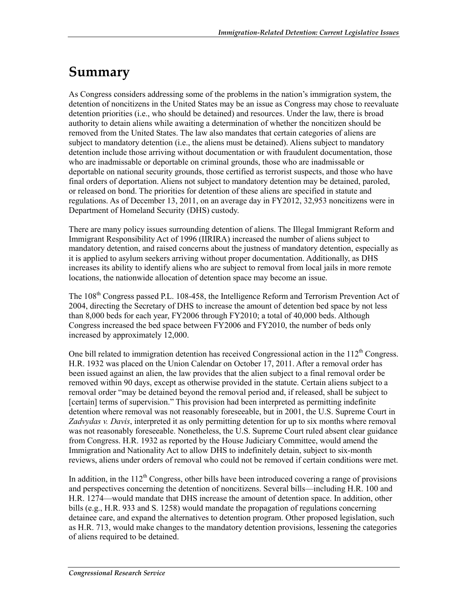## **Summary**

As Congress considers addressing some of the problems in the nation's immigration system, the detention of noncitizens in the United States may be an issue as Congress may chose to reevaluate detention priorities (i.e., who should be detained) and resources. Under the law, there is broad authority to detain aliens while awaiting a determination of whether the noncitizen should be removed from the United States. The law also mandates that certain categories of aliens are subject to mandatory detention (i.e., the aliens must be detained). Aliens subject to mandatory detention include those arriving without documentation or with fraudulent documentation, those who are inadmissable or deportable on criminal grounds, those who are inadmissable or deportable on national security grounds, those certified as terrorist suspects, and those who have final orders of deportation. Aliens not subject to mandatory detention may be detained, paroled, or released on bond. The priorities for detention of these aliens are specified in statute and regulations. As of December 13, 2011, on an average day in FY2012, 32,953 noncitizens were in Department of Homeland Security (DHS) custody.

There are many policy issues surrounding detention of aliens. The Illegal Immigrant Reform and Immigrant Responsibility Act of 1996 (IIRIRA) increased the number of aliens subject to mandatory detention, and raised concerns about the justness of mandatory detention, especially as it is applied to asylum seekers arriving without proper documentation. Additionally, as DHS increases its ability to identify aliens who are subject to removal from local jails in more remote locations, the nationwide allocation of detention space may become an issue.

The 108<sup>th</sup> Congress passed P.L. 108-458, the Intelligence Reform and Terrorism Prevention Act of 2004, directing the Secretary of DHS to increase the amount of detention bed space by not less than 8,000 beds for each year, FY2006 through FY2010; a total of 40,000 beds. Although Congress increased the bed space between FY2006 and FY2010, the number of beds only increased by approximately 12,000.

One bill related to immigration detention has received Congressional action in the  $112<sup>th</sup>$  Congress. H.R. 1932 was placed on the Union Calendar on October 17, 2011. After a removal order has been issued against an alien, the law provides that the alien subject to a final removal order be removed within 90 days, except as otherwise provided in the statute. Certain aliens subject to a removal order "may be detained beyond the removal period and, if released, shall be subject to [certain] terms of supervision." This provision had been interpreted as permitting indefinite detention where removal was not reasonably foreseeable, but in 2001, the U.S. Supreme Court in *Zadvydas v. Davis*, interpreted it as only permitting detention for up to six months where removal was not reasonably foreseeable. Nonetheless, the U.S. Supreme Court ruled absent clear guidance from Congress. H.R. 1932 as reported by the House Judiciary Committee, would amend the Immigration and Nationality Act to allow DHS to indefinitely detain, subject to six-month reviews, aliens under orders of removal who could not be removed if certain conditions were met.

In addition, in the  $112<sup>th</sup>$  Congress, other bills have been introduced covering a range of provisions and perspectives concerning the detention of noncitizens. Several bills—including H.R. 100 and H.R. 1274—would mandate that DHS increase the amount of detention space. In addition, other bills (e.g., H.R. 933 and S. 1258) would mandate the propagation of regulations concerning detainee care, and expand the alternatives to detention program. Other proposed legislation, such as H.R. 713, would make changes to the mandatory detention provisions, lessening the categories of aliens required to be detained.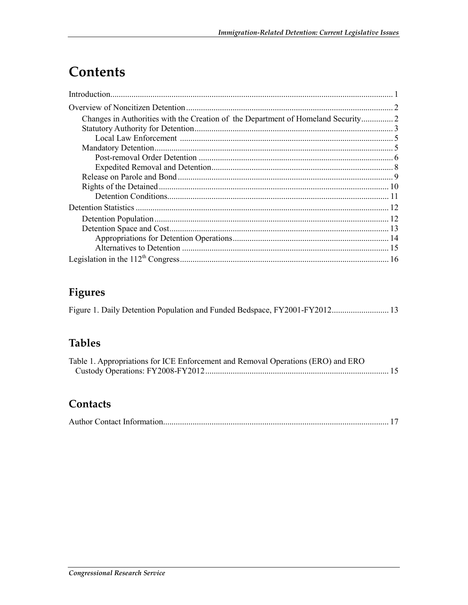## Contents

## Figures

## **Tables**

| Table 1. Appropriations for ICE Enforcement and Removal Operations (ERO) and ERO |  |
|----------------------------------------------------------------------------------|--|
|                                                                                  |  |

### Contacts

|--|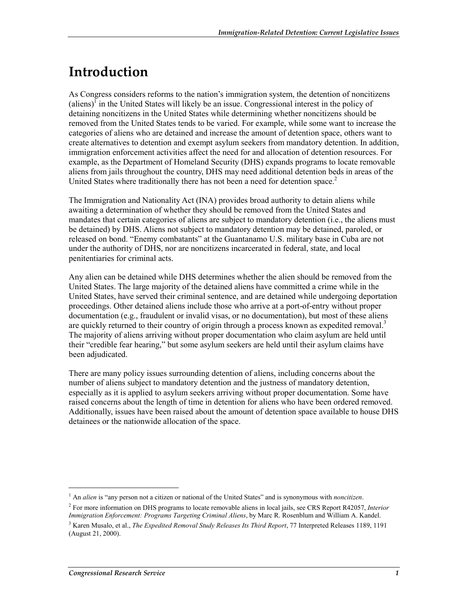## **Introduction**

As Congress considers reforms to the nation's immigration system, the detention of noncitizens  $\alpha$  (aliens)<sup> $\overline{I}$ </sup> in the United States will likely be an issue. Congressional interest in the policy of detaining noncitizens in the United States while determining whether noncitizens should be removed from the United States tends to be varied. For example, while some want to increase the categories of aliens who are detained and increase the amount of detention space, others want to create alternatives to detention and exempt asylum seekers from mandatory detention. In addition, immigration enforcement activities affect the need for and allocation of detention resources. For example, as the Department of Homeland Security (DHS) expands programs to locate removable aliens from jails throughout the country, DHS may need additional detention beds in areas of the United States where traditionally there has not been a need for detention space.<sup>2</sup>

The Immigration and Nationality Act (INA) provides broad authority to detain aliens while awaiting a determination of whether they should be removed from the United States and mandates that certain categories of aliens are subject to mandatory detention (i.e., the aliens must be detained) by DHS. Aliens not subject to mandatory detention may be detained, paroled, or released on bond. "Enemy combatants" at the Guantanamo U.S. military base in Cuba are not under the authority of DHS, nor are noncitizens incarcerated in federal, state, and local penitentiaries for criminal acts.

Any alien can be detained while DHS determines whether the alien should be removed from the United States. The large majority of the detained aliens have committed a crime while in the United States, have served their criminal sentence, and are detained while undergoing deportation proceedings. Other detained aliens include those who arrive at a port-of-entry without proper documentation (e.g., fraudulent or invalid visas, or no documentation), but most of these aliens are quickly returned to their country of origin through a process known as expedited removal.<sup>3</sup> The majority of aliens arriving without proper documentation who claim asylum are held until their "credible fear hearing," but some asylum seekers are held until their asylum claims have been adjudicated.

There are many policy issues surrounding detention of aliens, including concerns about the number of aliens subject to mandatory detention and the justness of mandatory detention, especially as it is applied to asylum seekers arriving without proper documentation. Some have raised concerns about the length of time in detention for aliens who have been ordered removed. Additionally, issues have been raised about the amount of detention space available to house DHS detainees or the nationwide allocation of the space.

<sup>&</sup>lt;sup>1</sup> An *alien* is "any person not a citizen or national of the United States" and is synonymous with *noncitizen*.

<sup>2</sup> For more information on DHS programs to locate removable aliens in local jails, see CRS Report R42057, *Interior Immigration Enforcement: Programs Targeting Criminal Aliens*, by Marc R. Rosenblum and William A. Kandel.

<sup>3</sup> Karen Musalo, et al., *The Expedited Removal Study Releases Its Third Report*, 77 Interpreted Releases 1189, 1191 (August 21, 2000).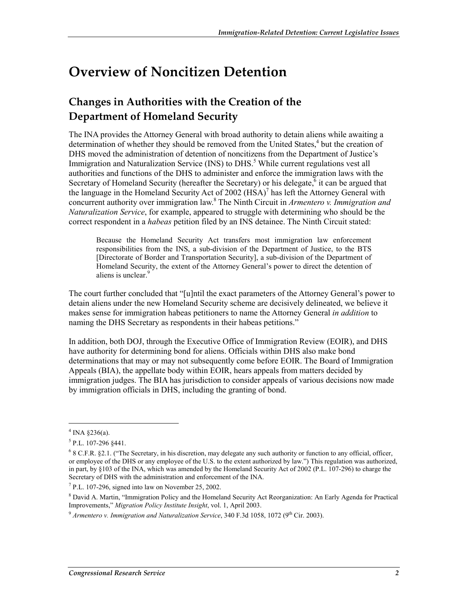## **Overview of Noncitizen Detention**

## **Changes in Authorities with the Creation of the Department of Homeland Security**

The INA provides the Attorney General with broad authority to detain aliens while awaiting a determination of whether they should be removed from the United States,<sup>4</sup> but the creation of DHS moved the administration of detention of noncitizens from the Department of Justice's Immigration and Naturalization Service (INS) to DHS.<sup>5</sup> While current regulations vest all authorities and functions of the DHS to administer and enforce the immigration laws with the Secretary of Homeland Security (hereafter the Secretary) or his delegate,  $\delta$  it can be argued that the language in the Homeland Security Act of 2002  $(HSA)^7$  has left the Attorney General with concurrent authority over immigration law.8 The Ninth Circuit in *Armentero v. Immigration and Naturalization Service*, for example, appeared to struggle with determining who should be the correct respondent in a *habeas* petition filed by an INS detainee. The Ninth Circuit stated:

Because the Homeland Security Act transfers most immigration law enforcement responsibilities from the INS, a sub-division of the Department of Justice, to the BTS [Directorate of Border and Transportation Security], a sub-division of the Department of Homeland Security, the extent of the Attorney General's power to direct the detention of aliens is unclear.<sup>9</sup>

The court further concluded that "[u]ntil the exact parameters of the Attorney General's power to detain aliens under the new Homeland Security scheme are decisively delineated, we believe it makes sense for immigration habeas petitioners to name the Attorney General *in addition* to naming the DHS Secretary as respondents in their habeas petitions."

In addition, both DOJ, through the Executive Office of Immigration Review (EOIR), and DHS have authority for determining bond for aliens. Officials within DHS also make bond determinations that may or may not subsequently come before EOIR. The Board of Immigration Appeals (BIA), the appellate body within EOIR, hears appeals from matters decided by immigration judges. The BIA has jurisdiction to consider appeals of various decisions now made by immigration officials in DHS, including the granting of bond.

 $4$  INA §236(a).

 $<sup>5</sup>$  P.L. 107-296 §441.</sup>

<sup>6</sup> 8 C.F.R. §2.1. ("The Secretary, in his discretion, may delegate any such authority or function to any official, officer, or employee of the DHS or any employee of the U.S. to the extent authorized by law.") This regulation was authorized, in part, by §103 of the INA, which was amended by the Homeland Security Act of 2002 (P.L. 107-296) to charge the Secretary of DHS with the administration and enforcement of the INA.

<sup>7</sup> P.L. 107-296, signed into law on November 25, 2002.

<sup>&</sup>lt;sup>8</sup> David A. Martin, "Immigration Policy and the Homeland Security Act Reorganization: An Early Agenda for Practical Improvements," *Migration Policy Institute Insight*, vol. 1, April 2003.

<sup>&</sup>lt;sup>9</sup> Armentero v. Immigration and Naturalization Service, 340 F.3d 1058, 1072 (9<sup>th</sup> Cir. 2003).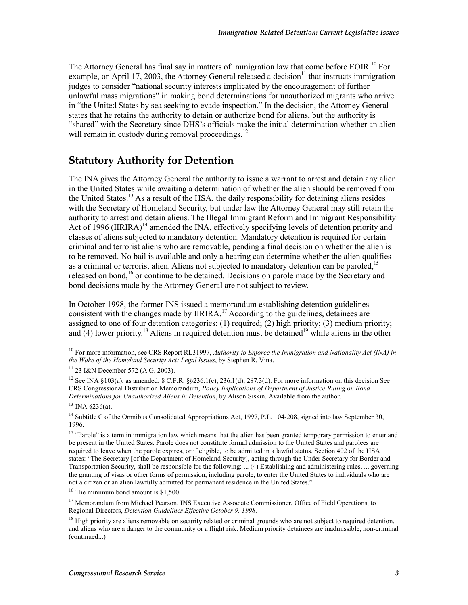The Attorney General has final say in matters of immigration law that come before EOIR.<sup>10</sup> For example, on April 17, 2003, the Attorney General released a decision<sup>11</sup> that instructs immigration judges to consider "national security interests implicated by the encouragement of further unlawful mass migrations" in making bond determinations for unauthorized migrants who arrive in "the United States by sea seeking to evade inspection." In the decision, the Attorney General states that he retains the authority to detain or authorize bond for aliens, but the authority is "shared" with the Secretary since DHS's officials make the initial determination whether an alien will remain in custody during removal proceedings.<sup>12</sup>

### **Statutory Authority for Detention**

The INA gives the Attorney General the authority to issue a warrant to arrest and detain any alien in the United States while awaiting a determination of whether the alien should be removed from the United States.13 As a result of the HSA, the daily responsibility for detaining aliens resides with the Secretary of Homeland Security, but under law the Attorney General may still retain the authority to arrest and detain aliens. The Illegal Immigrant Reform and Immigrant Responsibility Act of 1996 (IIRIRA)<sup>14</sup> amended the INA, effectively specifying levels of detention priority and classes of aliens subjected to mandatory detention. Mandatory detention is required for certain criminal and terrorist aliens who are removable, pending a final decision on whether the alien is to be removed. No bail is available and only a hearing can determine whether the alien qualifies as a criminal or terrorist alien. Aliens not subjected to mandatory detention can be paroled.<sup>15</sup> released on bond,<sup>16</sup> or continue to be detained. Decisions on parole made by the Secretary and bond decisions made by the Attorney General are not subject to review.

In October 1998, the former INS issued a memorandum establishing detention guidelines consistent with the changes made by IIRIRA.<sup>17</sup> According to the guidelines, detainees are assigned to one of four detention categories: (1) required; (2) high priority; (3) medium priority; and  $(4)$  lower priority.<sup>18</sup> Aliens in required detention must be detained<sup>19</sup> while aliens in the other

 $13$  INA  $$236(a)$ .

<sup>&</sup>lt;sup>10</sup> For more information, see CRS Report RL31997, *Authority to Enforce the Immigration and Nationality Act (INA) in the Wake of the Homeland Security Act: Legal Issues*, by Stephen R. Vina.

<sup>11 23</sup> I&N December 572 (A.G. 2003).

<sup>&</sup>lt;sup>12</sup> See INA §103(a), as amended; 8 C.F.R. §§236.1(c), 236.1(d), 287.3(d). For more information on this decision See CRS Congressional Distribution Memorandum, *Policy Implications of Department of Justice Ruling on Bond Determinations for Unauthorized Aliens in Detention*, by Alison Siskin. Available from the author.

<sup>&</sup>lt;sup>14</sup> Subtitle C of the Omnibus Consolidated Appropriations Act, 1997, P.L. 104-208, signed into law September 30, 1996.

<sup>&</sup>lt;sup>15</sup> "Parole" is a term in immigration law which means that the alien has been granted temporary permission to enter and be present in the United States. Parole does not constitute formal admission to the United States and parolees are required to leave when the parole expires, or if eligible, to be admitted in a lawful status. Section 402 of the HSA states: "The Secretary [of the Department of Homeland Security], acting through the Under Secretary for Border and Transportation Security, shall be responsible for the following: ... (4) Establishing and administering rules, ... governing the granting of visas or other forms of permission, including parole, to enter the United States to individuals who are not a citizen or an alien lawfully admitted for permanent residence in the United States."

<sup>&</sup>lt;sup>16</sup> The minimum bond amount is \$1,500.

<sup>&</sup>lt;sup>17</sup> Memorandum from Michael Pearson, INS Executive Associate Commissioner, Office of Field Operations, to Regional Directors, *Detention Guidelines Effective October 9, 1998*.

 $<sup>18</sup>$  High priority are aliens removable on security related or criminal grounds who are not subject to required detention,</sup> and aliens who are a danger to the community or a flight risk. Medium priority detainees are inadmissible, non-criminal (continued...)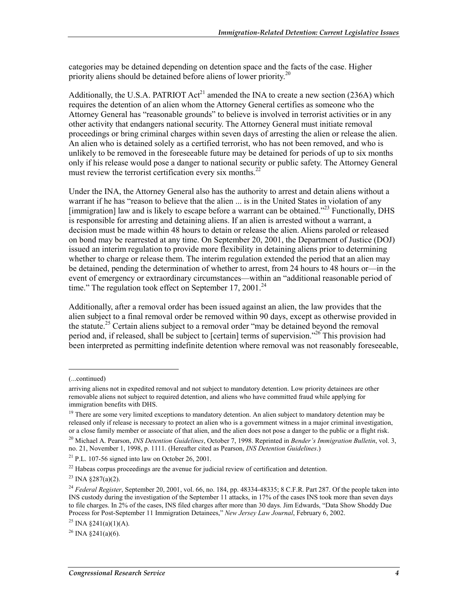categories may be detained depending on detention space and the facts of the case. Higher priority aliens should be detained before aliens of lower priority.<sup>20</sup>

Additionally, the U.S.A. PATRIOT  $Act^{21}$  amended the INA to create a new section (236A) which requires the detention of an alien whom the Attorney General certifies as someone who the Attorney General has "reasonable grounds" to believe is involved in terrorist activities or in any other activity that endangers national security. The Attorney General must initiate removal proceedings or bring criminal charges within seven days of arresting the alien or release the alien. An alien who is detained solely as a certified terrorist, who has not been removed, and who is unlikely to be removed in the foreseeable future may be detained for periods of up to six months only if his release would pose a danger to national security or public safety. The Attorney General must review the terrorist certification every six months.<sup>22</sup>

Under the INA, the Attorney General also has the authority to arrest and detain aliens without a warrant if he has "reason to believe that the alien ... is in the United States in violation of any [immigration] law and is likely to escape before a warrant can be obtained."<sup>23</sup> Functionally, DHS is responsible for arresting and detaining aliens. If an alien is arrested without a warrant, a decision must be made within 48 hours to detain or release the alien. Aliens paroled or released on bond may be rearrested at any time. On September 20, 2001, the Department of Justice (DOJ) issued an interim regulation to provide more flexibility in detaining aliens prior to determining whether to charge or release them. The interim regulation extended the period that an alien may be detained, pending the determination of whether to arrest, from 24 hours to 48 hours or—in the event of emergency or extraordinary circumstances—within an "additional reasonable period of time." The regulation took effect on September 17, 2001.<sup>24</sup>

Additionally, after a removal order has been issued against an alien, the law provides that the alien subject to a final removal order be removed within 90 days, except as otherwise provided in the statute.<sup>25</sup> Certain aliens subject to a removal order "may be detained beyond the removal period and, if released, shall be subject to [certain] terms of supervision."<sup>26</sup> This provision had been interpreted as permitting indefinite detention where removal was not reasonably foreseeable,

<sup>(...</sup>continued)

arriving aliens not in expedited removal and not subject to mandatory detention. Low priority detainees are other removable aliens not subject to required detention, and aliens who have committed fraud while applying for immigration benefits with DHS.

<sup>&</sup>lt;sup>19</sup> There are some very limited exceptions to mandatory detention. An alien subject to mandatory detention may be released only if release is necessary to protect an alien who is a government witness in a major criminal investigation, or a close family member or associate of that alien, and the alien does not pose a danger to the public or a flight risk.

<sup>20</sup> Michael A. Pearson, *INS Detention Guidelines*, October 7, 1998. Reprinted in *Bender's Immigration Bulletin*, vol. 3, no. 21, November 1, 1998, p. 1111. (Hereafter cited as Pearson, *INS Detention Guidelines*.)

 $21$  P.L. 107-56 signed into law on October 26, 2001.

 $22$  Habeas corpus proceedings are the avenue for judicial review of certification and detention.

 $^{23}$  INA  $\frac{$287(a)(2)}{a}$ .

<sup>24</sup> *Federal Register*, September 20, 2001, vol. 66, no. 184, pp. 48334-48335; 8 C.F.R. Part 287. Of the people taken into INS custody during the investigation of the September 11 attacks, in 17% of the cases INS took more than seven days to file charges. In 2% of the cases, INS filed charges after more than 30 days. Jim Edwards, "Data Show Shoddy Due Process for Post-September 11 Immigration Detainees," *New Jersey Law Journal*, February 6, 2002.

<sup>&</sup>lt;sup>25</sup> INA  $\frac{241(a)(1)(A)}{A}$ .

 $^{26}$  INA  $\frac{8241}{a}(6)$ .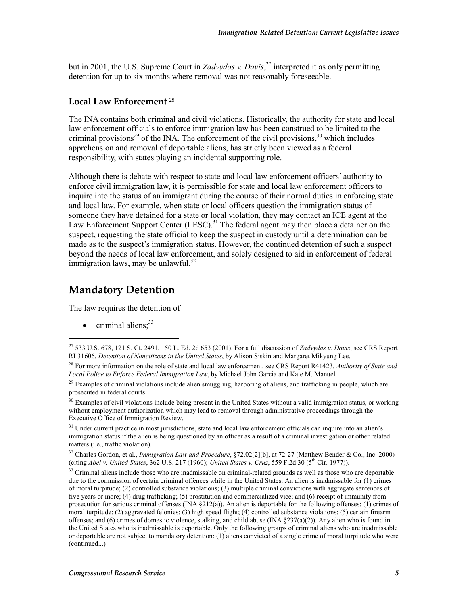but in 2001, the U.S. Supreme Court in *Zadvydas v. Davis*, 27 interpreted it as only permitting detention for up to six months where removal was not reasonably foreseeable.

#### **Local Law Enforcement** <sup>28</sup>

The INA contains both criminal and civil violations. Historically, the authority for state and local law enforcement officials to enforce immigration law has been construed to be limited to the criminal provisions<sup>29</sup> of the INA. The enforcement of the civil provisions,<sup>30</sup> which includes apprehension and removal of deportable aliens, has strictly been viewed as a federal responsibility, with states playing an incidental supporting role.

Although there is debate with respect to state and local law enforcement officers' authority to enforce civil immigration law, it is permissible for state and local law enforcement officers to inquire into the status of an immigrant during the course of their normal duties in enforcing state and local law. For example, when state or local officers question the immigration status of someone they have detained for a state or local violation, they may contact an ICE agent at the Law Enforcement Support Center  $(LESC)^{31}$  The federal agent may then place a detainer on the suspect, requesting the state official to keep the suspect in custody until a determination can be made as to the suspect's immigration status. However, the continued detention of such a suspect beyond the needs of local law enforcement, and solely designed to aid in enforcement of federal immigration laws, may be unlawful. $32$ 

### **Mandatory Detention**

The law requires the detention of

criminal aliens;<sup>33</sup>

1

<sup>30</sup> Examples of civil violations include being present in the United States without a valid immigration status, or working without employment authorization which may lead to removal through administrative proceedings through the Executive Office of Immigration Review.

<sup>31</sup> Under current practice in most jurisdictions, state and local law enforcement officials can inquire into an alien's immigration status if the alien is being questioned by an officer as a result of a criminal investigation or other related matters (i.e., traffic violation).

32 Charles Gordon, et al., *Immigration Law and Procedure*, §72.02[2][b], at 72-27 (Matthew Bender & Co., Inc. 2000) (citing *Abel v. United States*, 362 U.S. 217 (1960); *United States v. Cruz*, 559 F.2d 30 (5th Cir. 1977)).

 $33$  Criminal aliens include those who are inadmissable on criminal-related grounds as well as those who are deportable due to the commission of certain criminal offences while in the United States. An alien is inadmissable for (1) crimes of moral turpitude; (2) controlled substance violations; (3) multiple criminal convictions with aggregate sentences of five years or more; (4) drug trafficking; (5) prostitution and commercialized vice; and (6) receipt of immunity from prosecution for serious criminal offenses (INA  $\S212(a)$ ). An alien is deportable for the following offenses: (1) crimes of moral turpitude; (2) aggravated felonies; (3) high speed flight; (4) controlled substance violations; (5) certain firearm offenses; and (6) crimes of domestic violence, stalking, and child abuse (INA  $\S 237(a)(2)$ ). Any alien who is found in the United States who is inadmissable is deportable. Only the following groups of criminal aliens who are inadmissable or deportable are not subject to mandatory detention: (1) aliens convicted of a single crime of moral turpitude who were (continued...)

<sup>27 533</sup> U.S. 678, 121 S. Ct. 2491, 150 L. Ed. 2d 653 (2001). For a full discussion of *Zadvydas v. Davis*, see CRS Report RL31606, *Detention of Noncitizens in the United States*, by Alison Siskin and Margaret Mikyung Lee.

<sup>28</sup> For more information on the role of state and local law enforcement, see CRS Report R41423, *Authority of State and Local Police to Enforce Federal Immigration Law*, by Michael John Garcia and Kate M. Manuel.

<sup>&</sup>lt;sup>29</sup> Examples of criminal violations include alien smuggling, harboring of aliens, and trafficking in people, which are prosecuted in federal courts.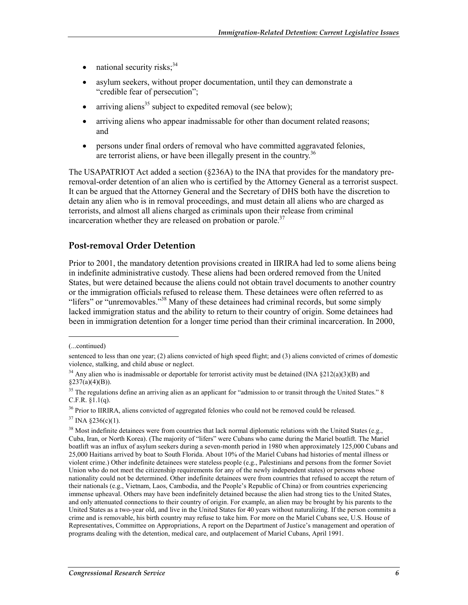- national security risks; $34$
- asylum seekers, without proper documentation, until they can demonstrate a "credible fear of persecution";
- arriving aliens<sup>35</sup> subject to expedited removal (see below);
- arriving aliens who appear inadmissable for other than document related reasons; and
- persons under final orders of removal who have committed aggravated felonies, are terrorist aliens, or have been illegally present in the country.<sup>36</sup>

The USAPATRIOT Act added a section (§236A) to the INA that provides for the mandatory preremoval-order detention of an alien who is certified by the Attorney General as a terrorist suspect. It can be argued that the Attorney General and the Secretary of DHS both have the discretion to detain any alien who is in removal proceedings, and must detain all aliens who are charged as terrorists, and almost all aliens charged as criminals upon their release from criminal incarceration whether they are released on probation or parole.<sup>37</sup>

#### **Post-removal Order Detention**

Prior to 2001, the mandatory detention provisions created in IIRIRA had led to some aliens being in indefinite administrative custody. These aliens had been ordered removed from the United States, but were detained because the aliens could not obtain travel documents to another country or the immigration officials refused to release them. These detainees were often referred to as "lifers" or "unremovables."<sup>38</sup> Many of these detainees had criminal records, but some simply lacked immigration status and the ability to return to their country of origin. Some detainees had been in immigration detention for a longer time period than their criminal incarceration. In 2000,

<sup>(...</sup>continued)

sentenced to less than one year; (2) aliens convicted of high speed flight; and (3) aliens convicted of crimes of domestic violence, stalking, and child abuse or neglect.

<sup>&</sup>lt;sup>34</sup> Any alien who is inadmissable or deportable for terrorist activity must be detained (INA  $\S212(a)(3)(B)$ ) and  $§237(a)(4)(B)).$ 

<sup>&</sup>lt;sup>35</sup> The regulations define an arriving alien as an applicant for "admission to or transit through the United States." 8 C.F.R. §1.1(q).

<sup>&</sup>lt;sup>36</sup> Prior to IIRIRA, aliens convicted of aggregated felonies who could not be removed could be released.

 $37$  INA §236(c)(1).

 $38$  Most indefinite detainees were from countries that lack normal diplomatic relations with the United States (e.g., Cuba, Iran, or North Korea). (The majority of "lifers" were Cubans who came during the Mariel boatlift. The Mariel boatlift was an influx of asylum seekers during a seven-month period in 1980 when approximately 125,000 Cubans and 25,000 Haitians arrived by boat to South Florida. About 10% of the Mariel Cubans had histories of mental illness or violent crime.) Other indefinite detainees were stateless people (e.g., Palestinians and persons from the former Soviet Union who do not meet the citizenship requirements for any of the newly independent states) or persons whose nationality could not be determined. Other indefinite detainees were from countries that refused to accept the return of their nationals (e.g., Vietnam, Laos, Cambodia, and the People's Republic of China) or from countries experiencing immense upheaval. Others may have been indefinitely detained because the alien had strong ties to the United States, and only attenuated connections to their country of origin. For example, an alien may be brought by his parents to the United States as a two-year old, and live in the United States for 40 years without naturalizing. If the person commits a crime and is removable, his birth country may refuse to take him. For more on the Mariel Cubans see, U.S. House of Representatives, Committee on Appropriations, A report on the Department of Justice's management and operation of programs dealing with the detention, medical care, and outplacement of Mariel Cubans, April 1991.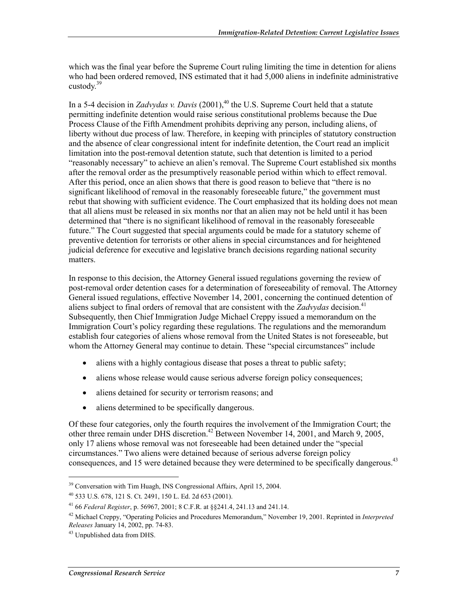which was the final year before the Supreme Court ruling limiting the time in detention for aliens who had been ordered removed, INS estimated that it had 5,000 aliens in indefinite administrative custody. $39$ 

In a 5-4 decision in *Zadvydas v. Davis* (2001),<sup>40</sup> the U.S. Supreme Court held that a statute permitting indefinite detention would raise serious constitutional problems because the Due Process Clause of the Fifth Amendment prohibits depriving any person, including aliens, of liberty without due process of law. Therefore, in keeping with principles of statutory construction and the absence of clear congressional intent for indefinite detention, the Court read an implicit limitation into the post-removal detention statute, such that detention is limited to a period "reasonably necessary" to achieve an alien's removal. The Supreme Court established six months after the removal order as the presumptively reasonable period within which to effect removal. After this period, once an alien shows that there is good reason to believe that "there is no significant likelihood of removal in the reasonably foreseeable future," the government must rebut that showing with sufficient evidence. The Court emphasized that its holding does not mean that all aliens must be released in six months nor that an alien may not be held until it has been determined that "there is no significant likelihood of removal in the reasonably foreseeable future." The Court suggested that special arguments could be made for a statutory scheme of preventive detention for terrorists or other aliens in special circumstances and for heightened judicial deference for executive and legislative branch decisions regarding national security matters.

In response to this decision, the Attorney General issued regulations governing the review of post-removal order detention cases for a determination of foreseeability of removal. The Attorney General issued regulations, effective November 14, 2001, concerning the continued detention of aliens subject to final orders of removal that are consistent with the *Zadvydas* decision.<sup>41</sup> Subsequently, then Chief Immigration Judge Michael Creppy issued a memorandum on the Immigration Court's policy regarding these regulations. The regulations and the memorandum establish four categories of aliens whose removal from the United States is not foreseeable, but whom the Attorney General may continue to detain. These "special circumstances" include

- aliens with a highly contagious disease that poses a threat to public safety;
- aliens whose release would cause serious adverse foreign policy consequences;
- aliens detained for security or terrorism reasons; and
- aliens determined to be specifically dangerous.

Of these four categories, only the fourth requires the involvement of the Immigration Court; the other three remain under DHS discretion.<sup>42</sup> Between November 14, 2001, and March 9, 2005, only 17 aliens whose removal was not foreseeable had been detained under the "special circumstances." Two aliens were detained because of serious adverse foreign policy consequences, and 15 were detained because they were determined to be specifically dangerous.<sup>43</sup>

<sup>&</sup>lt;sup>39</sup> Conversation with Tim Huagh, INS Congressional Affairs, April 15, 2004.

<sup>40 533</sup> U.S. 678, 121 S. Ct. 2491, 150 L. Ed. 2d 653 (2001).

<sup>41 66</sup> *Federal Register*, p. 56967, 2001; 8 C.F.R. at §§241.4, 241.13 and 241.14.

<sup>42</sup> Michael Creppy, "Operating Policies and Procedures Memorandum," November 19, 2001. Reprinted in *Interpreted Releases* January 14, 2002, pp. 74-83.

<sup>43</sup> Unpublished data from DHS.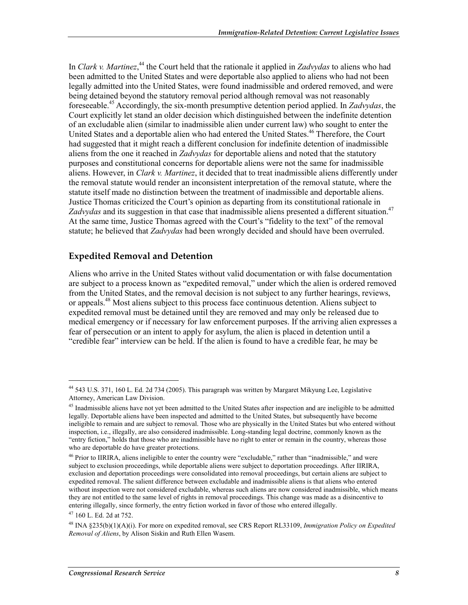In *Clark v. Martinez*,<sup>44</sup> the Court held that the rationale it applied in *Zadvydas* to aliens who had been admitted to the United States and were deportable also applied to aliens who had not been legally admitted into the United States, were found inadmissible and ordered removed, and were being detained beyond the statutory removal period although removal was not reasonably foreseeable.45 Accordingly, the six-month presumptive detention period applied. In *Zadvydas*, the Court explicitly let stand an older decision which distinguished between the indefinite detention of an excludable alien (similar to inadmissible alien under current law) who sought to enter the United States and a deportable alien who had entered the United States.<sup>46</sup> Therefore, the Court had suggested that it might reach a different conclusion for indefinite detention of inadmissible aliens from the one it reached in *Zadvydas* for deportable aliens and noted that the statutory purposes and constitutional concerns for deportable aliens were not the same for inadmissible aliens. However, in *Clark v. Martinez*, it decided that to treat inadmissible aliens differently under the removal statute would render an inconsistent interpretation of the removal statute, where the statute itself made no distinction between the treatment of inadmissible and deportable aliens. Justice Thomas criticized the Court's opinion as departing from its constitutional rationale in Zadvydas and its suggestion in that case that inadmissible aliens presented a different situation.<sup>47</sup> At the same time, Justice Thomas agreed with the Court's "fidelity to the text" of the removal statute; he believed that *Zadvydas* had been wrongly decided and should have been overruled.

#### **Expedited Removal and Detention**

Aliens who arrive in the United States without valid documentation or with false documentation are subject to a process known as "expedited removal," under which the alien is ordered removed from the United States, and the removal decision is not subject to any further hearings, reviews, or appeals.<sup>48</sup> Most aliens subject to this process face continuous detention. Aliens subject to expedited removal must be detained until they are removed and may only be released due to medical emergency or if necessary for law enforcement purposes. If the arriving alien expresses a fear of persecution or an intent to apply for asylum, the alien is placed in detention until a "credible fear" interview can be held. If the alien is found to have a credible fear, he may be

<sup>44 543</sup> U.S. 371, 160 L. Ed. 2d 734 (2005). This paragraph was written by Margaret Mikyung Lee, Legislative Attorney, American Law Division.

<sup>&</sup>lt;sup>45</sup> Inadmissible aliens have not yet been admitted to the United States after inspection and are ineligible to be admitted legally. Deportable aliens have been inspected and admitted to the United States, but subsequently have become ineligible to remain and are subject to removal. Those who are physically in the United States but who entered without inspection, i.e., illegally, are also considered inadmissible. Long-standing legal doctrine, commonly known as the "entry fiction," holds that those who are inadmissible have no right to enter or remain in the country, whereas those who are deportable do have greater protections.

<sup>&</sup>lt;sup>46</sup> Prior to IIRIRA, aliens ineligible to enter the country were "excludable," rather than "inadmissible," and were subject to exclusion proceedings, while deportable aliens were subject to deportation proceedings. After IIRIRA, exclusion and deportation proceedings were consolidated into removal proceedings, but certain aliens are subject to expedited removal. The salient difference between excludable and inadmissible aliens is that aliens who entered without inspection were not considered excludable, whereas such aliens are now considered inadmissible, which means they are not entitled to the same level of rights in removal proceedings. This change was made as a disincentive to entering illegally, since formerly, the entry fiction worked in favor of those who entered illegally.

<sup>47 160</sup> L. Ed. 2d at 752.

<sup>48</sup> INA §235(b)(1)(A)(i). For more on expedited removal, see CRS Report RL33109, *Immigration Policy on Expedited Removal of Aliens*, by Alison Siskin and Ruth Ellen Wasem.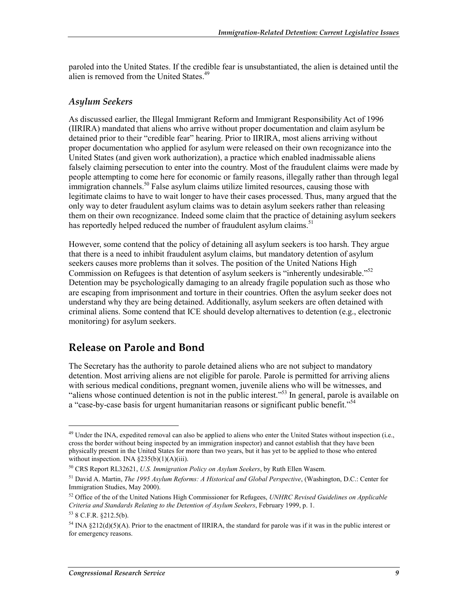paroled into the United States. If the credible fear is unsubstantiated, the alien is detained until the alien is removed from the United States.<sup>49</sup>

#### *Asylum Seekers*

As discussed earlier, the Illegal Immigrant Reform and Immigrant Responsibility Act of 1996 (IIRIRA) mandated that aliens who arrive without proper documentation and claim asylum be detained prior to their "credible fear" hearing. Prior to IIRIRA, most aliens arriving without proper documentation who applied for asylum were released on their own recognizance into the United States (and given work authorization), a practice which enabled inadmissable aliens falsely claiming persecution to enter into the country. Most of the fraudulent claims were made by people attempting to come here for economic or family reasons, illegally rather than through legal immigration channels.<sup>50</sup> False asylum claims utilize limited resources, causing those with legitimate claims to have to wait longer to have their cases processed. Thus, many argued that the only way to deter fraudulent asylum claims was to detain asylum seekers rather than releasing them on their own recognizance. Indeed some claim that the practice of detaining asylum seekers has reportedly helped reduced the number of fraudulent asylum claims.<sup>51</sup>

However, some contend that the policy of detaining all asylum seekers is too harsh. They argue that there is a need to inhibit fraudulent asylum claims, but mandatory detention of asylum seekers causes more problems than it solves. The position of the United Nations High Commission on Refugees is that detention of asylum seekers is "inherently undesirable."<sup>52</sup> Detention may be psychologically damaging to an already fragile population such as those who are escaping from imprisonment and torture in their countries. Often the asylum seeker does not understand why they are being detained. Additionally, asylum seekers are often detained with criminal aliens. Some contend that ICE should develop alternatives to detention (e.g., electronic monitoring) for asylum seekers.

#### **Release on Parole and Bond**

The Secretary has the authority to parole detained aliens who are not subject to mandatory detention. Most arriving aliens are not eligible for parole. Parole is permitted for arriving aliens with serious medical conditions, pregnant women, juvenile aliens who will be witnesses, and "aliens whose continued detention is not in the public interest."<sup>53</sup> In general, parole is available on a "case-by-case basis for urgent humanitarian reasons or significant public benefit."<sup>54</sup>

<sup>&</sup>lt;sup>49</sup> Under the INA, expedited removal can also be applied to aliens who enter the United States without inspection (i.e., cross the border without being inspected by an immigration inspector) and cannot establish that they have been physically present in the United States for more than two years, but it has yet to be applied to those who entered without inspection. INA  $\S 235(b)(1)(A)(iii)$ .

<sup>50</sup> CRS Report RL32621, *U.S. Immigration Policy on Asylum Seekers*, by Ruth Ellen Wasem.

<sup>51</sup> David A. Martin, *The 1995 Asylum Reforms: A Historical and Global Perspective*, (Washington, D.C.: Center for Immigration Studies, May 2000).

<sup>52</sup> Office of the of the United Nations High Commissioner for Refugees, *UNHRC Revised Guidelines on Applicable Criteria and Standards Relating to the Detention of Asylum Seekers*, February 1999, p. 1.

<sup>53 8</sup> C.F.R. §212.5(b).

 $54$  INA §212(d)(5)(A). Prior to the enactment of IIRIRA, the standard for parole was if it was in the public interest or for emergency reasons.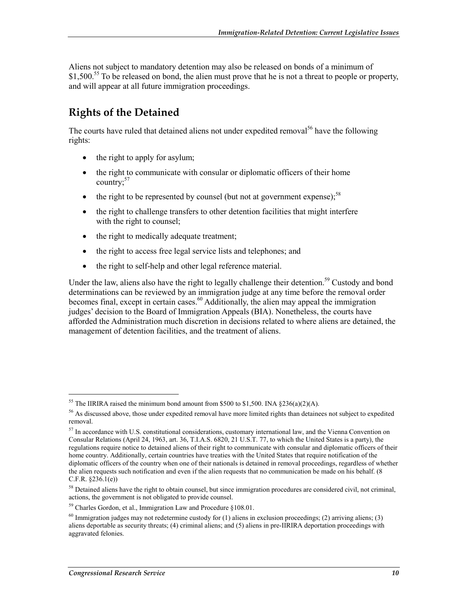Aliens not subject to mandatory detention may also be released on bonds of a minimum of \$1,500.<sup>55</sup> To be released on bond, the alien must prove that he is not a threat to people or property, and will appear at all future immigration proceedings.

## **Rights of the Detained**

The courts have ruled that detained aliens not under expedited removal<sup>56</sup> have the following rights:

- the right to apply for asylum;
- the right to communicate with consular or diplomatic officers of their home country; $57$
- the right to be represented by counsel (but not at government expense);<sup>58</sup>
- the right to challenge transfers to other detention facilities that might interfere with the right to counsel;
- the right to medically adequate treatment;
- the right to access free legal service lists and telephones; and
- the right to self-help and other legal reference material.

Under the law, aliens also have the right to legally challenge their detention.<sup>59</sup> Custody and bond determinations can be reviewed by an immigration judge at any time before the removal order becomes final, except in certain cases.<sup>60</sup> Additionally, the alien may appeal the immigration judges' decision to the Board of Immigration Appeals (BIA). Nonetheless, the courts have afforded the Administration much discretion in decisions related to where aliens are detained, the management of detention facilities, and the treatment of aliens.

<sup>&</sup>lt;sup>55</sup> The IIRIRA raised the minimum bond amount from \$500 to \$1,500. INA  $\S 236(a)(2)(A)$ .

 $56$  As discussed above, those under expedited removal have more limited rights than detainees not subject to expedited removal.

<sup>&</sup>lt;sup>57</sup> In accordance with U.S. constitutional considerations, customary international law, and the Vienna Convention on Consular Relations (April 24, 1963, art. 36, T.I.A.S. 6820, 21 U.S.T. 77, to which the United States is a party), the regulations require notice to detained aliens of their right to communicate with consular and diplomatic officers of their home country. Additionally, certain countries have treaties with the United States that require notification of the diplomatic officers of the country when one of their nationals is detained in removal proceedings, regardless of whether the alien requests such notification and even if the alien requests that no communication be made on his behalf. (8 C.F.R. §236.1(e))

<sup>&</sup>lt;sup>58</sup> Detained aliens have the right to obtain counsel, but since immigration procedures are considered civil, not criminal, actions, the government is not obligated to provide counsel.

<sup>59</sup> Charles Gordon, et al., Immigration Law and Procedure §108.01.

 $60$  Immigration judges may not redetermine custody for (1) aliens in exclusion proceedings; (2) arriving aliens; (3) aliens deportable as security threats; (4) criminal aliens; and (5) aliens in pre-IIRIRA deportation proceedings with aggravated felonies.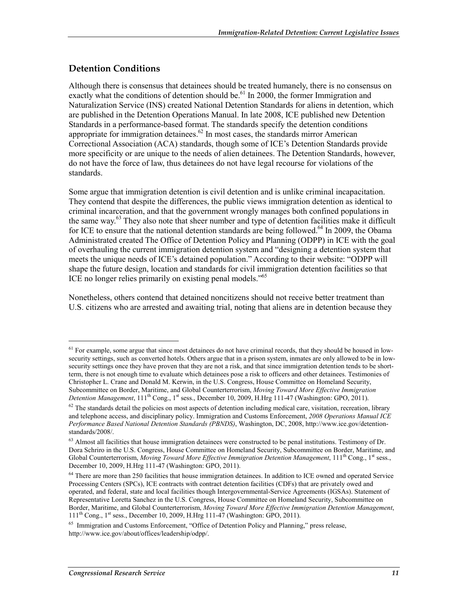#### **Detention Conditions**

Although there is consensus that detainees should be treated humanely, there is no consensus on exactly what the conditions of detention should be.<sup>61</sup> In 2000, the former Immigration and Naturalization Service (INS) created National Detention Standards for aliens in detention, which are published in the Detention Operations Manual. In late 2008, ICE published new Detention Standards in a performance-based format. The standards specify the detention conditions appropriate for immigration detainees. $62$  In most cases, the standards mirror American Correctional Association (ACA) standards, though some of ICE's Detention Standards provide more specificity or are unique to the needs of alien detainees. The Detention Standards, however, do not have the force of law, thus detainees do not have legal recourse for violations of the standards.

Some argue that immigration detention is civil detention and is unlike criminal incapacitation. They contend that despite the differences, the public views immigration detention as identical to criminal incarceration, and that the government wrongly manages both confined populations in the same way.<sup>63</sup> They also note that sheer number and type of detention facilities make it difficult for ICE to ensure that the national detention standards are being followed.<sup>64</sup> In 2009, the Obama Administrated created The Office of Detention Policy and Planning (ODPP) in ICE with the goal of overhauling the current immigration detention system and "designing a detention system that meets the unique needs of ICE's detained population." According to their website: "ODPP will shape the future design, location and standards for civil immigration detention facilities so that ICE no longer relies primarily on existing penal models."<sup>65</sup>

Nonetheless, others contend that detained noncitizens should not receive better treatment than U.S. citizens who are arrested and awaiting trial, noting that aliens are in detention because they

<sup>&</sup>lt;sup>61</sup> For example, some argue that since most detainees do not have criminal records, that they should be housed in lowsecurity settings, such as converted hotels. Others argue that in a prison system, inmates are only allowed to be in lowsecurity settings once they have proven that they are not a risk, and that since immigration detention tends to be shortterm, there is not enough time to evaluate which detainees pose a risk to officers and other detainees. Testimonies of Christopher L. Crane and Donald M. Kerwin, in the U.S. Congress, House Committee on Homeland Security, Subcommittee on Border, Maritime, and Global Counterterrorism, *Moving Toward More Effective Immigration Detention Management*, 111th Cong., 1st sess., December 10, 2009, H.Hrg 111-47 (Washington: GPO, 2011).

 $62$  The standards detail the policies on most aspects of detention including medical care, visitation, recreation, library and telephone access, and disciplinary policy. Immigration and Customs Enforcement, *2008 Operations Manual ICE Performance Based National Detention Standards (PBNDS)*, Washington, DC, 2008, http://www.ice.gov/detentionstandards/2008/.

<sup>&</sup>lt;sup>63</sup> Almost all facilities that house immigration detainees were constructed to be penal institutions. Testimony of Dr. Dora Schriro in the U.S. Congress, House Committee on Homeland Security, Subcommittee on Border, Maritime, and Global Counterterrorism, *Moving Toward More Effective Immigration Detention Management*, 111<sup>th</sup> Cong., 1<sup>st</sup> sess., December 10, 2009, H.Hrg 111-47 (Washington: GPO, 2011).

<sup>&</sup>lt;sup>64</sup> There are more than 250 facilities that house immigration detainees. In addition to ICE owned and operated Service Processing Centers (SPCs), ICE contracts with contract detention facilities (CDFs) that are privately owed and operated, and federal, state and local facilities though Intergovernmental-Service Agreements (IGSAs). Statement of Representative Loretta Sanchez in the U.S. Congress, House Committee on Homeland Security, Subcommittee on Border, Maritime, and Global Counterterrorism, *Moving Toward More Effective Immigration Detention Management*, 111th Cong., 1st sess., December 10, 2009, H.Hrg 111-47 (Washington: GPO, 2011).

<sup>&</sup>lt;sup>65</sup> Immigration and Customs Enforcement, "Office of Detention Policy and Planning," press release, http://www.ice.gov/about/offices/leadership/odpp/.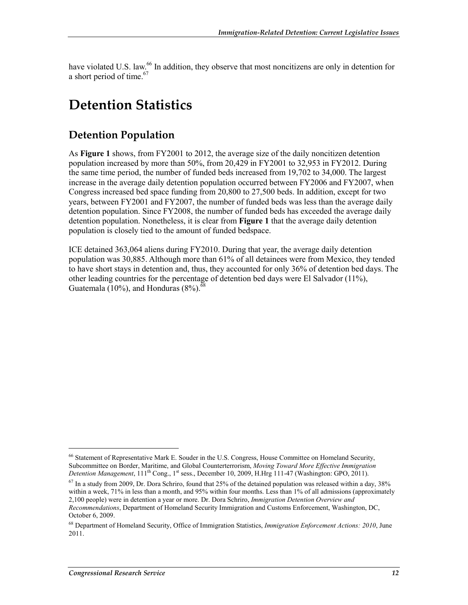have violated U.S. law.<sup>66</sup> In addition, they observe that most noncitizens are only in detention for a short period of time.<sup>67</sup>

## **Detention Statistics**

### **Detention Population**

As **Figure 1** shows, from FY2001 to 2012, the average size of the daily noncitizen detention population increased by more than 50%, from 20,429 in FY2001 to 32,953 in FY2012. During the same time period, the number of funded beds increased from 19,702 to 34,000. The largest increase in the average daily detention population occurred between FY2006 and FY2007, when Congress increased bed space funding from 20,800 to 27,500 beds. In addition, except for two years, between FY2001 and FY2007, the number of funded beds was less than the average daily detention population. Since FY2008, the number of funded beds has exceeded the average daily detention population. Nonetheless, it is clear from **Figure 1** that the average daily detention population is closely tied to the amount of funded bedspace.

ICE detained 363,064 aliens during FY2010. During that year, the average daily detention population was 30,885. Although more than 61% of all detainees were from Mexico, they tended to have short stays in detention and, thus, they accounted for only 36% of detention bed days. The other leading countries for the percentage of detention bed days were El Salvador (11%), Guatemala (10%), and Honduras  $(8\%)$ .<sup>6</sup>

<sup>66</sup> Statement of Representative Mark E. Souder in the U.S. Congress, House Committee on Homeland Security, Subcommittee on Border, Maritime, and Global Counterterrorism, *Moving Toward More Effective Immigration Detention Management*, 111<sup>th</sup> Cong., 1<sup>st</sup> sess., December 10, 2009, H.Hrg 111-47 (Washington: GPO, 2011).

 $^{67}$  In a study from 2009, Dr. Dora Schriro, found that 25% of the detained population was released within a day, 38% within a week, 71% in less than a month, and 95% within four months. Less than 1% of all admissions (approximately 2,100 people) were in detention a year or more. Dr. Dora Schriro, *Immigration Detention Overview and Recommendations*, Department of Homeland Security Immigration and Customs Enforcement, Washington, DC, October 6, 2009.

<sup>68</sup> Department of Homeland Security, Office of Immigration Statistics, *Immigration Enforcement Actions: 2010*, June 2011.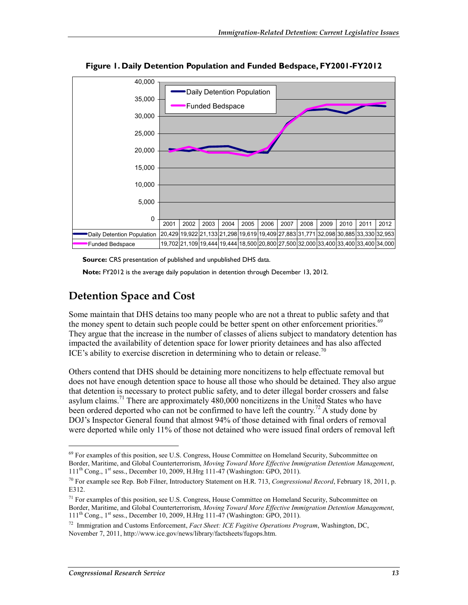

**Figure 1. Daily Detention Population and Funded Bedspace, FY2001-FY2012** 

**Source:** CRS presentation of published and unpublished DHS data.

**Note:** FY2012 is the average daily population in detention through December 13, 2012.

### **Detention Space and Cost**

Some maintain that DHS detains too many people who are not a threat to public safety and that the money spent to detain such people could be better spent on other enforcement priorities.<sup>69</sup> They argue that the increase in the number of classes of aliens subject to mandatory detention has impacted the availability of detention space for lower priority detainees and has also affected ICE's ability to exercise discretion in determining who to detain or release.<sup>70</sup>

Others contend that DHS should be detaining more noncitizens to help effectuate removal but does not have enough detention space to house all those who should be detained. They also argue that detention is necessary to protect public safety, and to deter illegal border crossers and false asylum claims.<sup>71</sup> There are approximately  $480,000$  noncitizens in the United States who have been ordered deported who can not be confirmed to have left the country.<sup>72</sup> A study done by DOJ's Inspector General found that almost 94% of those detained with final orders of removal were deported while only 11% of those not detained who were issued final orders of removal left

<sup>&</sup>lt;sup>69</sup> For examples of this position, see U.S. Congress, House Committee on Homeland Security, Subcommittee on Border, Maritime, and Global Counterterrorism, *Moving Toward More Effective Immigration Detention Management*, 111th Cong., 1st sess., December 10, 2009, H.Hrg 111-47 (Washington: GPO, 2011).

<sup>70</sup> For example see Rep. Bob Filner, Introductory Statement on H.R. 713, *Congressional Record*, February 18, 2011, p. E312.

 $<sup>71</sup>$  For examples of this position, see U.S. Congress, House Committee on Homeland Security, Subcommittee on</sup> Border, Maritime, and Global Counterterrorism, *Moving Toward More Effective Immigration Detention Management*, 111th Cong., 1st sess., December 10, 2009, H.Hrg 111-47 (Washington: GPO, 2011).

<sup>72</sup> Immigration and Customs Enforcement, *Fact Sheet: ICE Fugitive Operations Program*, Washington, DC, November 7, 2011, http://www.ice.gov/news/library/factsheets/fugops.htm.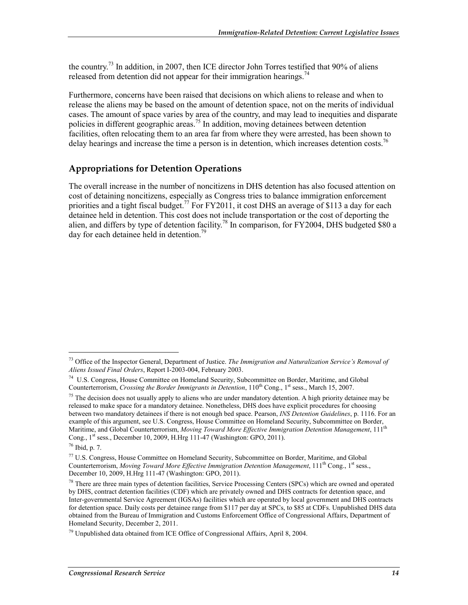the country.<sup>73</sup> In addition, in 2007, then ICE director John Torres testified that 90% of aliens released from detention did not appear for their immigration hearings.<sup>74</sup>

Furthermore, concerns have been raised that decisions on which aliens to release and when to release the aliens may be based on the amount of detention space, not on the merits of individual cases. The amount of space varies by area of the country, and may lead to inequities and disparate policies in different geographic areas.75 In addition, moving detainees between detention facilities, often relocating them to an area far from where they were arrested, has been shown to delay hearings and increase the time a person is in detention, which increases detention costs.<sup>76</sup>

#### **Appropriations for Detention Operations**

The overall increase in the number of noncitizens in DHS detention has also focused attention on cost of detaining noncitizens, especially as Congress tries to balance immigration enforcement priorities and a tight fiscal budget.<sup>77</sup> For FY2011, it cost DHS an average of \$113 a day for each detainee held in detention. This cost does not include transportation or the cost of deporting the alien, and differs by type of detention facility.<sup>78</sup> In comparison, for FY2004, DHS budgeted \$80 a day for each detainee held in detention.<sup>79</sup>

<sup>73</sup> Office of the Inspector General, Department of Justice. *The Immigration and Naturalization Service's Removal of Aliens Issued Final Orders*, Report I-2003-004, February 2003.

<sup>74</sup> U.S. Congress, House Committee on Homeland Security, Subcommittee on Border, Maritime, and Global Counterterrorism, *Crossing the Border Immigrants in Detention*, 110<sup>th</sup> Cong., 1<sup>st</sup> sess., March 15, 2007.

<sup>&</sup>lt;sup>75</sup> The decision does not usually apply to aliens who are under mandatory detention. A high priority detainee may be released to make space for a mandatory detainee. Nonetheless, DHS does have explicit procedures for choosing between two mandatory detainees if there is not enough bed space. Pearson, *INS Detention Guidelines*, p. 1116. For an example of this argument, see U.S. Congress, House Committee on Homeland Security, Subcommittee on Border, Maritime, and Global Counterterrorism, *Moving Toward More Effective Immigration Detention Management*, 111th Cong., 1st sess., December 10, 2009, H.Hrg 111-47 (Washington: GPO, 2011).

<sup>76</sup> Ibid, p. 7.

<sup>77</sup> U.S. Congress, House Committee on Homeland Security, Subcommittee on Border, Maritime, and Global Counterterrorism, *Moving Toward More Effective Immigration Detention Management*, 111<sup>th</sup> Cong., 1<sup>st</sup> sess., December 10, 2009, H.Hrg 111-47 (Washington: GPO, 2011).

 $^{78}$  There are three main types of detention facilities, Service Processing Centers (SPCs) which are owned and operated by DHS, contract detention facilities (CDF) which are privately owned and DHS contracts for detention space, and Inter-governmental Service Agreement (IGSAs) facilities which are operated by local government and DHS contracts for detention space. Daily costs per detainee range from \$117 per day at SPCs, to \$85 at CDFs. Unpublished DHS data obtained from the Bureau of Immigration and Customs Enforcement Office of Congressional Affairs, Department of Homeland Security, December 2, 2011.

<sup>79</sup> Unpublished data obtained from ICE Office of Congressional Affairs, April 8, 2004.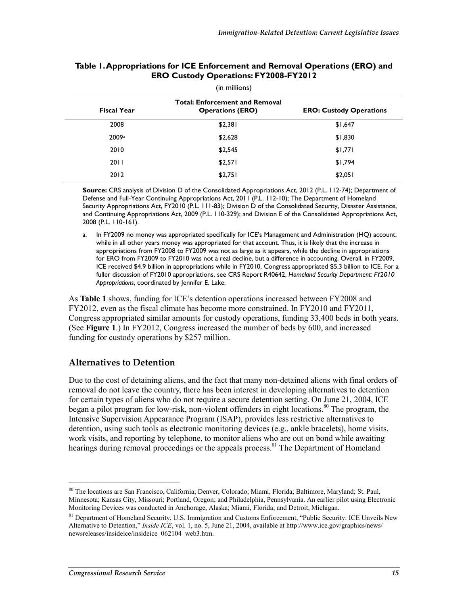| , |                    |                                                                  |                                |  |  |
|---|--------------------|------------------------------------------------------------------|--------------------------------|--|--|
|   | <b>Fiscal Year</b> | <b>Total: Enforcement and Removal</b><br><b>Operations (ERO)</b> | <b>ERO: Custody Operations</b> |  |  |
|   | 2008               | \$2,381                                                          | \$1,647                        |  |  |
|   | 2009a              | \$2,628                                                          | \$1,830                        |  |  |
|   | 2010               | \$2,545                                                          | \$1,771                        |  |  |
|   | 2011               | \$2,571                                                          | \$1,794                        |  |  |
|   | 2012               | \$2,751                                                          | \$2,051                        |  |  |

#### **Table 1. Appropriations for ICE Enforcement and Removal Operations (ERO) and ERO Custody Operations: FY2008-FY2012**

(in millions)

**Source:** CRS analysis of Division D of the Consolidated Appropriations Act, 2012 (P.L. 112-74); Department of Defense and Full-Year Continuing Appropriations Act, 2011 (P.L. 112-10); The Department of Homeland Security Appropriations Act, FY2010 (P.L. 111-83); Division D of the Consolidated Security, Disaster Assistance, and Continuing Appropriations Act, 2009 (P.L. 110-329); and Division E of the Consolidated Appropriations Act, 2008 (P.L. 110-161).

a. In FY2009 no money was appropriated specifically for ICE's Management and Administration (HQ) account, while in all other years money was appropriated for that account. Thus, it is likely that the increase in appropriations from FY2008 to FY2009 was not as large as it appears, while the decline in appropriations for ERO from FY2009 to FY2010 was not a real decline, but a difference in accounting. Overall, in FY2009, ICE received \$4.9 billion in appropriations while in FY2010, Congress appropriated \$5.3 billion to ICE. For a fuller discussion of FY2010 appropriations, see CRS Report R40642, *Homeland Security Department: FY2010 Appropriations*, coordinated by Jennifer E. Lake.

As **Table 1** shows, funding for ICE's detention operations increased between FY2008 and FY2012, even as the fiscal climate has become more constrained. In FY2010 and FY2011, Congress appropriated similar amounts for custody operations, funding 33,400 beds in both years. (See **Figure 1**.) In FY2012, Congress increased the number of beds by 600, and increased funding for custody operations by \$257 million.

#### **Alternatives to Detention**

Due to the cost of detaining aliens, and the fact that many non-detained aliens with final orders of removal do not leave the country, there has been interest in developing alternatives to detention for certain types of aliens who do not require a secure detention setting. On June 21, 2004, ICE began a pilot program for low-risk, non-violent offenders in eight locations.<sup>80</sup> The program, the Intensive Supervision Appearance Program (ISAP), provides less restrictive alternatives to detention, using such tools as electronic monitoring devices (e.g., ankle bracelets), home visits, work visits, and reporting by telephone, to monitor aliens who are out on bond while awaiting hearings during removal proceedings or the appeals process.<sup>81</sup> The Department of Homeland

<sup>80</sup> The locations are San Francisco, California; Denver, Colorado; Miami, Florida; Baltimore, Maryland; St. Paul, Minnesota; Kansas City, Missouri; Portland, Oregon; and Philadelphia, Pennsylvania. An earlier pilot using Electronic Monitoring Devices was conducted in Anchorage, Alaska; Miami, Florida; and Detroit, Michigan.

<sup>&</sup>lt;sup>81</sup> Department of Homeland Security, U.S. Immigration and Customs Enforcement, "Public Security: ICE Unveils New Alternative to Detention," *Inside ICE*, vol. 1, no. 5, June 21, 2004, available at http://www.ice.gov/graphics/news/ newsreleases/insideice/insideice\_062104\_web3.htm.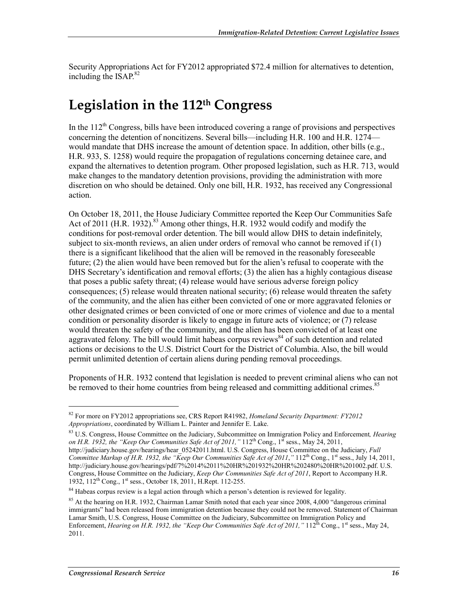Security Appropriations Act for FY2012 appropriated \$72.4 million for alternatives to detention, including the ISAP.<sup>82</sup>

## **Legislation in the 112th Congress**

In the  $112<sup>th</sup>$  Congress, bills have been introduced covering a range of provisions and perspectives concerning the detention of noncitizens. Several bills—including H.R. 100 and H.R. 1274 would mandate that DHS increase the amount of detention space. In addition, other bills (e.g., H.R. 933, S. 1258) would require the propagation of regulations concerning detainee care, and expand the alternatives to detention program. Other proposed legislation, such as H.R. 713, would make changes to the mandatory detention provisions, providing the administration with more discretion on who should be detained. Only one bill, H.R. 1932, has received any Congressional action.

On October 18, 2011, the House Judiciary Committee reported the Keep Our Communities Safe Act of 2011 (H.R. 1932).<sup>83</sup> Among other things, H.R. 1932 would codify and modify the conditions for post-removal order detention. The bill would allow DHS to detain indefinitely, subject to six-month reviews, an alien under orders of removal who cannot be removed if (1) there is a significant likelihood that the alien will be removed in the reasonably foreseeable future; (2) the alien would have been removed but for the alien's refusal to cooperate with the DHS Secretary's identification and removal efforts; (3) the alien has a highly contagious disease that poses a public safety threat; (4) release would have serious adverse foreign policy consequences; (5) release would threaten national security; (6) release would threaten the safety of the community, and the alien has either been convicted of one or more aggravated felonies or other designated crimes or been convicted of one or more crimes of violence and due to a mental condition or personality disorder is likely to engage in future acts of violence; or (7) release would threaten the safety of the community, and the alien has been convicted of at least one aggravated felony. The bill would limit habeas corpus reviews<sup>84</sup> of such detention and related actions or decisions to the U.S. District Court for the District of Columbia. Also, the bill would permit unlimited detention of certain aliens during pending removal proceedings.

Proponents of H.R. 1932 contend that legislation is needed to prevent criminal aliens who can not be removed to their home countries from being released and committing additional crimes.<sup>85</sup>

83 U.S. Congress, House Committee on the Judiciary, Subcommittee on Immigration Policy and Enforcement*, Hearing on H.R.* 1932, the "Keep Our Communities Safe Act of 2011,"  $112^{th}$  Cong.,  $1^{st}$  sess., May 24, 2011, http://judiciary.house.gov/hearings/hear\_05242011.html. U.S. Congress, House Committee on the Judiciary, *Full Committee Markup of H.R. 1932, the "Keep Our Communities Safe Act of 2011,"* 112<sup>th</sup> Cong., 1<sup>st</sup> sess., July 14, 2011, http://judiciary.house.gov/hearings/pdf/7%2014%2011%20HR%201932%20HR%202480%20HR%201002.pdf. U.S. Congress, House Committee on the Judiciary, *Keep Our Communities Safe Act of 2011*, Report to Accompany H.R. 1932, 112<sup>th</sup> Cong., 1<sup>st</sup> sess., October 18, 2011, H.Rept. 112-255.

<sup>82</sup> For more on FY2012 appropriations see, CRS Report R41982, *Homeland Security Department: FY2012 Appropriations*, coordinated by William L. Painter and Jennifer E. Lake.

<sup>&</sup>lt;sup>84</sup> Habeas corpus review is a legal action through which a person's detention is reviewed for legality.

 $85$  At the hearing on H.R. 1932, Chairman Lamar Smith noted that each year since 2008, 4,000 "dangerous criminal immigrants" had been released from immigration detention because they could not be removed. Statement of Chairman Lamar Smith, U.S. Congress, House Committee on the Judiciary, Subcommittee on Immigration Policy and Enforcement, *Hearing on H.R. 1932, the "Keep Our Communities Safe Act of 2011,"* 112<sup>th</sup> Cong., 1<sup>st</sup> sess., May 24, 2011.